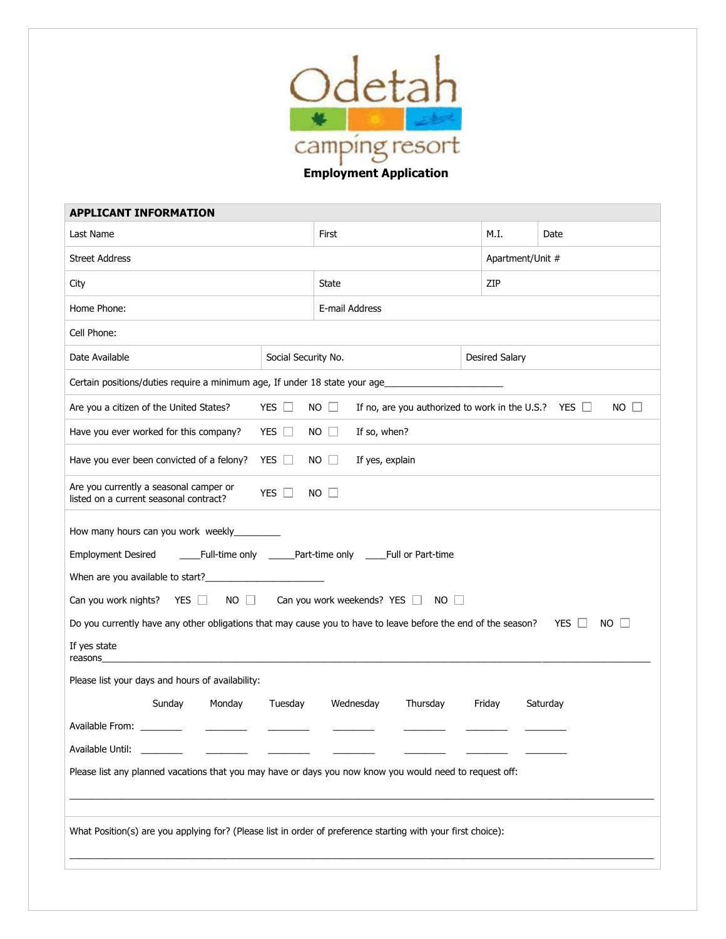

**Employment Application**

| <b>APPLICANT INFORMATION</b>                                                                                                                                                                                                                                                                                                                                                                                                                                                                                                                                                                                                                           |                     |                                |      |                       |                                                                          |  |  |
|--------------------------------------------------------------------------------------------------------------------------------------------------------------------------------------------------------------------------------------------------------------------------------------------------------------------------------------------------------------------------------------------------------------------------------------------------------------------------------------------------------------------------------------------------------------------------------------------------------------------------------------------------------|---------------------|--------------------------------|------|-----------------------|--------------------------------------------------------------------------|--|--|
| Last Name                                                                                                                                                                                                                                                                                                                                                                                                                                                                                                                                                                                                                                              | First               |                                | M.I. | Date                  |                                                                          |  |  |
| <b>Street Address</b>                                                                                                                                                                                                                                                                                                                                                                                                                                                                                                                                                                                                                                  |                     |                                |      | Apartment/Unit #      |                                                                          |  |  |
| City                                                                                                                                                                                                                                                                                                                                                                                                                                                                                                                                                                                                                                                   | State               |                                | ZIP  |                       |                                                                          |  |  |
| Home Phone:                                                                                                                                                                                                                                                                                                                                                                                                                                                                                                                                                                                                                                            | E-mail Address      |                                |      |                       |                                                                          |  |  |
| Cell Phone:                                                                                                                                                                                                                                                                                                                                                                                                                                                                                                                                                                                                                                            |                     |                                |      |                       |                                                                          |  |  |
| Date Available                                                                                                                                                                                                                                                                                                                                                                                                                                                                                                                                                                                                                                         | Social Security No. |                                |      | <b>Desired Salary</b> |                                                                          |  |  |
| Certain positions/duties require a minimum age, If under 18 state your age_                                                                                                                                                                                                                                                                                                                                                                                                                                                                                                                                                                            |                     |                                |      |                       |                                                                          |  |  |
| Are you a citizen of the United States?                                                                                                                                                                                                                                                                                                                                                                                                                                                                                                                                                                                                                | YES $\Box$          | $NO$ $\Box$                    |      |                       | $NO$ $\Box$<br>If no, are you authorized to work in the U.S.? YES $\Box$ |  |  |
| Have you ever worked for this company?                                                                                                                                                                                                                                                                                                                                                                                                                                                                                                                                                                                                                 | YES $\Box$          | $NO$ $\Box$<br>If so, when?    |      |                       |                                                                          |  |  |
| Have you ever been convicted of a felony?                                                                                                                                                                                                                                                                                                                                                                                                                                                                                                                                                                                                              | YES $\Box$          | $NO$ $\Box$<br>If yes, explain |      |                       |                                                                          |  |  |
| Are you currently a seasonal camper or<br>YES $\Box$<br>$NO$ $\Box$<br>listed on a current seasonal contract?                                                                                                                                                                                                                                                                                                                                                                                                                                                                                                                                          |                     |                                |      |                       |                                                                          |  |  |
| <b>Employment Desired</b><br>____Full-time only ______Part-time only _____Full or Part-time<br>When are you available to start?<br>Can you work nights? YES $\Box$<br>NO Can you work weekends? YES NO<br>Do you currently have any other obligations that may cause you to have to leave before the end of the season?<br>YES I<br>NO.<br>If yes state<br>reasons<br>Please list your days and hours of availability:<br>Monday<br>Tuesday<br>Sunday<br>Wednesday<br>Thursday<br>Friday<br>Saturday<br>Available From:<br>Available Until:<br>Please list any planned vacations that you may have or days you now know you would need to request off: |                     |                                |      |                       |                                                                          |  |  |
| What Position(s) are you applying for? (Please list in order of preference starting with your first choice):                                                                                                                                                                                                                                                                                                                                                                                                                                                                                                                                           |                     |                                |      |                       |                                                                          |  |  |
|                                                                                                                                                                                                                                                                                                                                                                                                                                                                                                                                                                                                                                                        |                     |                                |      |                       |                                                                          |  |  |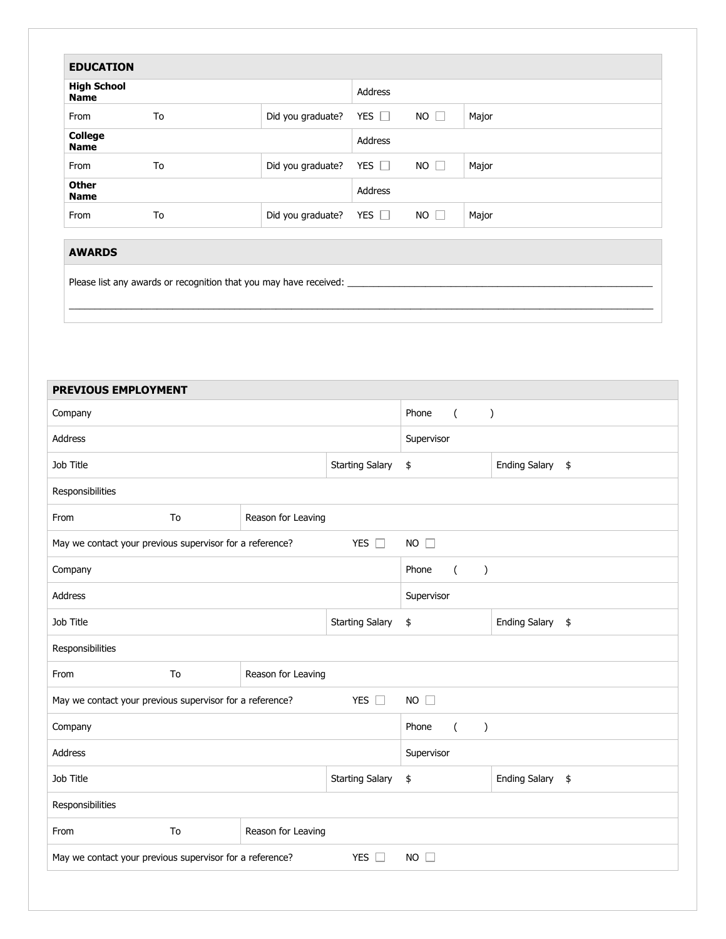| <b>EDUCATION</b>                  |    |                   |            |             |       |
|-----------------------------------|----|-------------------|------------|-------------|-------|
| <b>High School</b><br><b>Name</b> |    |                   | Address    |             |       |
| From                              | To | Did you graduate? | YES $\Box$ | $NO$ $\Box$ | Major |
| <b>College</b><br><b>Name</b>     |    |                   | Address    |             |       |
| From                              | To | Did you graduate? | YES $\Box$ | $NO$ $\Box$ | Major |
| <b>Other</b><br><b>Name</b>       |    |                   | Address    |             |       |
| From                              | To | Did you graduate? | YES $\Box$ | $NO$ $\Box$ | Major |

\_\_\_\_\_\_\_\_\_\_\_\_\_\_\_\_\_\_\_\_\_\_\_\_\_\_\_\_\_\_\_\_\_\_\_\_\_\_\_\_\_\_\_\_\_\_\_\_\_\_\_\_\_\_\_\_\_\_\_\_\_\_\_\_\_\_\_\_\_\_\_\_\_\_\_\_\_\_\_\_\_\_\_\_\_\_\_\_\_\_\_\_\_\_\_\_\_\_\_\_\_\_\_\_\_\_\_\_\_\_\_\_\_

## **AWARDS**

Please list any awards or recognition that you may have received: \_

| <b>PREVIOUS EMPLOYMENT</b>                                                               |  |                    |                                    |          |               |                      |    |
|------------------------------------------------------------------------------------------|--|--------------------|------------------------------------|----------|---------------|----------------------|----|
| Company                                                                                  |  |                    | Phone                              | $\left($ | $\mathcal{C}$ |                      |    |
| Address                                                                                  |  |                    | Supervisor                         |          |               |                      |    |
| Job Title                                                                                |  |                    | <b>Starting Salary</b>             | \$       |               | <b>Ending Salary</b> | \$ |
| Responsibilities                                                                         |  |                    |                                    |          |               |                      |    |
| From<br>To                                                                               |  | Reason for Leaving |                                    |          |               |                      |    |
| YES $\Box$<br>May we contact your previous supervisor for a reference?                   |  |                    | $NO$ $\Box$                        |          |               |                      |    |
| Company                                                                                  |  |                    | Phone<br>$\left($<br>$\mathcal{E}$ |          |               |                      |    |
| Address                                                                                  |  |                    | Supervisor                         |          |               |                      |    |
| Job Title                                                                                |  |                    | <b>Starting Salary</b>             | \$       |               | <b>Ending Salary</b> | \$ |
| Responsibilities                                                                         |  |                    |                                    |          |               |                      |    |
| From<br>To                                                                               |  | Reason for Leaving |                                    |          |               |                      |    |
| May we contact your previous supervisor for a reference?<br>YES $\square$<br>$NO$ $\Box$ |  |                    |                                    |          |               |                      |    |
| Company                                                                                  |  |                    | Phone<br>$\left($<br>$\mathcal{C}$ |          |               |                      |    |
| Address                                                                                  |  |                    | Supervisor                         |          |               |                      |    |
| Job Title                                                                                |  |                    | <b>Starting Salary</b>             | \$       |               | Ending Salary \$     |    |
| Responsibilities                                                                         |  |                    |                                    |          |               |                      |    |
| From<br>To                                                                               |  | Reason for Leaving |                                    |          |               |                      |    |
| May we contact your previous supervisor for a reference?<br>YES $\Box$<br><b>NO</b><br>П |  |                    |                                    |          |               |                      |    |
|                                                                                          |  |                    |                                    |          |               |                      |    |